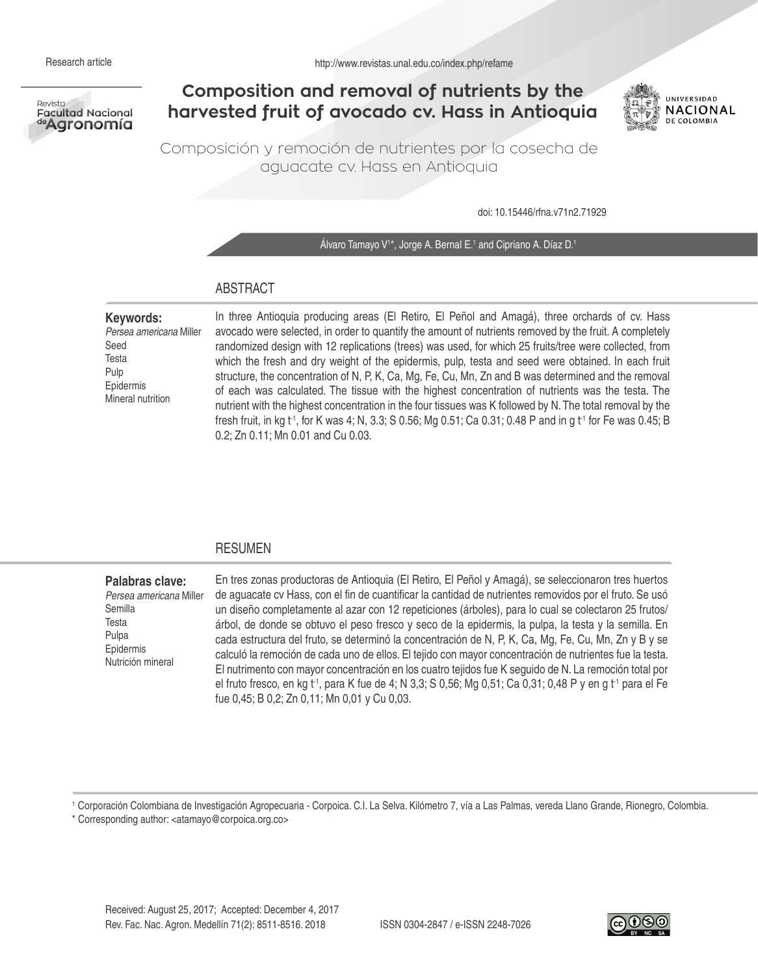

# **Composition and removal of nutrients by the harvested fruit of avocado cv. Hass in Antioquia**



Composición y remoción de nutrientes por la cosecha de aguacate cv. Hass en Antioquia

doi: 10.15446/rfna.v71n2.71929

Alvaro Tamayo V<sup>1\*</sup>, Jorge A. Bernal E.<sup>1</sup> and Cipriano A. Díaz D.<sup>1</sup>

## ABSTRACT

**Keywords:**  *Persea americana* Miller Seed Testa Pulp Epidermis Mineral nutrition

In three Antioquia producing areas (El Retiro, El Peñol and Amagá), three orchards of cv. Hass avocado were selected, in order to quantify the amount of nutrients removed by the fruit. A completely randomized design with 12 replications (trees) was used, for which 25 fruits/tree were collected, from which the fresh and dry weight of the epidermis, pulp, testa and seed were obtained. In each fruit structure, the concentration of N, P, K, Ca, Mg, Fe, Cu, Mn, Zn and B was determined and the removal of each was calculated. The tissue with the highest concentration of nutrients was the testa. The nutrient with the highest concentration in the four tissues was K followed by N. The total removal by the fresh fruit, in kg t<sup>-1</sup>, for K was 4; N, 3.3; S 0.56; Mg 0.51; Ca 0.31; 0.48 P and in g t<sup>-1</sup> for Fe was 0.45; B 0.2; Zn 0.11; Mn 0.01 and Cu 0.03.

### RESUMEN

**Palabras clave:**  *Persea americana* Miller Semilla Testa Pulpa Epidermis Nutrición mineral En tres zonas productoras de Antioquia (El Retiro, El Peñol y Amagá), se seleccionaron tres huertos de aguacate cv Hass, con el fin de cuantificar la cantidad de nutrientes removidos por el fruto. Se usó un diseño completamente al azar con 12 repeticiones (árboles), para lo cual se colectaron 25 frutos/ árbol, de donde se obtuvo el peso fresco y seco de la epidermis, la pulpa, la testa y la semilla. En cada estructura del fruto, se determinó la concentración de N, P, K, Ca, Mg, Fe, Cu, Mn, Zn y B y se calculó la remoción de cada uno de ellos. El tejido con mayor concentración de nutrientes fue la testa. El nutrimento con mayor concentración en los cuatro tejidos fue K seguido de N. La remoción total por el fruto fresco, en kg t<sup>-1</sup>, para K fue de 4; N 3,3; S 0,56; Mg 0,51; Ca 0,31; 0,48 P y en g t<sup>-1</sup> para el Fe fue 0,45; B 0,2; Zn 0,11; Mn 0,01 y Cu 0,03.

1 Corporación Colombiana de Investigación Agropecuaria - Corpoica. C.I. La Selva. Kilómetro 7, vía a Las Palmas, vereda Llano Grande, Rionegro, Colombia. \* Corresponding author: <atamayo@corpoica.org.co>

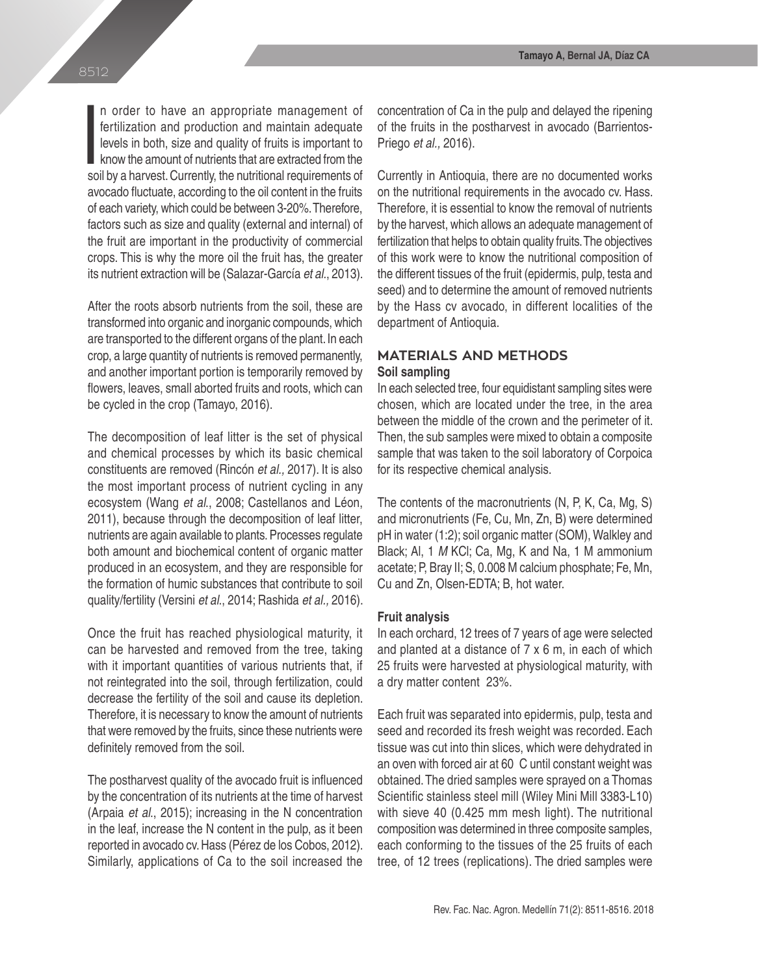In order to have an appropriate management of fertilization and production and maintain adequate levels in both, size and quality of fruits is important to know the amount of nutrients that are extracted from the soil by a n order to have an appropriate management of fertilization and production and maintain adequate levels in both, size and quality of fruits is important to know the amount of nutrients that are extracted from the avocado fluctuate, according to the oil content in the fruits of each variety, which could be between 3-20%. Therefore, factors such as size and quality (external and internal) of the fruit are important in the productivity of commercial crops. This is why the more oil the fruit has, the greater its nutrient extraction will be (Salazar-García *et al.*, 2013).

After the roots absorb nutrients from the soil, these are transformed into organic and inorganic compounds, which are transported to the different organs of the plant. In each crop, a large quantity of nutrients is removed permanently, and another important portion is temporarily removed by flowers, leaves, small aborted fruits and roots, which can be cycled in the crop (Tamayo, 2016).

The decomposition of leaf litter is the set of physical and chemical processes by which its basic chemical constituents are removed (Rincón *et al.,* 2017). It is also the most important process of nutrient cycling in any ecosystem (Wang *et al*., 2008; Castellanos and Léon, 2011), because through the decomposition of leaf litter, nutrients are again available to plants. Processes regulate both amount and biochemical content of organic matter produced in an ecosystem, and they are responsible for the formation of humic substances that contribute to soil quality/fertility (Versini *et al*., 2014; Rashida *et al.,* 2016).

Once the fruit has reached physiological maturity, it can be harvested and removed from the tree, taking with it important quantities of various nutrients that, if not reintegrated into the soil, through fertilization, could decrease the fertility of the soil and cause its depletion. Therefore, it is necessary to know the amount of nutrients that were removed by the fruits, since these nutrients were definitely removed from the soil.

The postharvest quality of the avocado fruit is influenced by the concentration of its nutrients at the time of harvest (Arpaia *et al*., 2015); increasing in the N concentration in the leaf, increase the N content in the pulp, as it been reported in avocado cv. Hass (Pérez de los Cobos, 2012). Similarly, applications of Ca to the soil increased the concentration of Ca in the pulp and delayed the ripening of the fruits in the postharvest in avocado (Barrientos-Priego *et al.,* 2016).

Currently in Antioquia, there are no documented works on the nutritional requirements in the avocado cv. Hass. Therefore, it is essential to know the removal of nutrients by the harvest, which allows an adequate management of fertilization that helps to obtain quality fruits. The objectives of this work were to know the nutritional composition of the different tissues of the fruit (epidermis, pulp, testa and seed) and to determine the amount of removed nutrients by the Hass cv avocado, in different localities of the department of Antioquia.

# **MATERIALS AND METHODS Soil sampling**

In each selected tree, four equidistant sampling sites were chosen, which are located under the tree, in the area between the middle of the crown and the perimeter of it. Then, the sub samples were mixed to obtain a composite sample that was taken to the soil laboratory of Corpoica for its respective chemical analysis.

The contents of the macronutrients (N, P, K, Ca, Mg, S) and micronutrients (Fe, Cu, Mn, Zn, B) were determined pH in water (1:2); soil organic matter (SOM), Walkley and Black; Al, 1 *M* KCl; Ca, Mg, K and Na, 1 M ammonium acetate; P, Bray II; S, 0.008 M calcium phosphate; Fe, Mn, Cu and Zn, Olsen-EDTA; B, hot water.

### **Fruit analysis**

In each orchard, 12 trees of 7 years of age were selected and planted at a distance of 7 x 6 m, in each of which 25 fruits were harvested at physiological maturity, with a dry matter content ≥23%.

Each fruit was separated into epidermis, pulp, testa and seed and recorded its fresh weight was recorded. Each tissue was cut into thin slices, which were dehydrated in an oven with forced air at 60 C until constant weight was obtained. The dried samples were sprayed on a Thomas Scientific stainless steel mill (Wiley Mini Mill 3383-L10) with sieve 40 (0.425 mm mesh light). The nutritional composition was determined in three composite samples, each conforming to the tissues of the 25 fruits of each tree, of 12 trees (replications). The dried samples were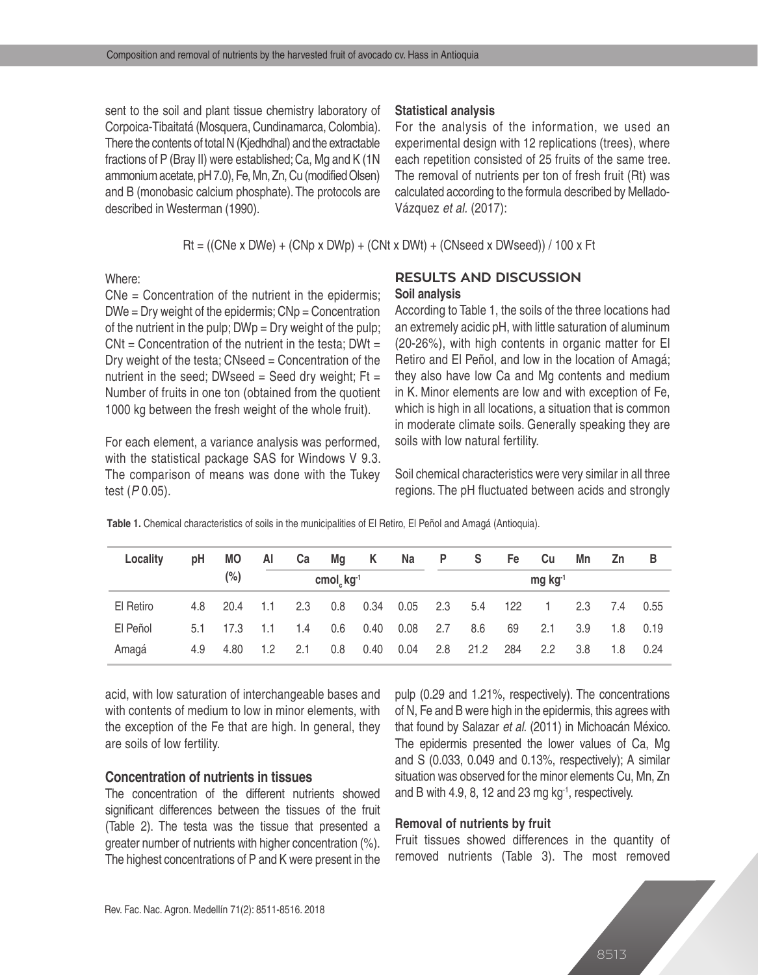sent to the soil and plant tissue chemistry laboratory of Corpoica-Tibaitatá (Mosquera, Cundinamarca, Colombia). There the contents of total N (Kjedhdhal) and the extractable fractions of P (Bray II) were established; Ca, Mg and K (1N ammonium acetate, pH 7.0), Fe, Mn, Zn, Cu (modified Olsen) and B (monobasic calcium phosphate). The protocols are described in Westerman (1990).

#### **Statistical analysis**

For the analysis of the information, we used an experimental design with 12 replications (trees), where each repetition consisted of 25 fruits of the same tree. The removal of nutrients per ton of fresh fruit (Rt) was calculated according to the formula described by Mellado-Vázquez *et al.* (2017):

Rt = ((CNe x DWe) + (CNp x DWp) + (CNt x DWt) + (CNseed x DWseed)) / 100 x Ft

Where:

CNe = Concentration of the nutrient in the epidermis;  $DWe = Dry weight of the epidermis;  $Chp = Concentration$$ of the nutrient in the pulp;  $DWp = Dry$  weight of the pulp;  $CNt =$  Concentration of the nutrient in the testa: DWt = Dry weight of the testa; CNseed = Concentration of the nutrient in the seed; DWseed = Seed dry weight;  $Ft =$ Number of fruits in one ton (obtained from the quotient 1000 kg between the fresh weight of the whole fruit).

For each element, a variance analysis was performed, with the statistical package SAS for Windows V 9.3. The comparison of means was done with the Tukey test ( $P$ 0.05).

# **RESULTS AND DISCUSSION Soil analysis**

According to Table 1, the soils of the three locations had an extremely acidic pH, with little saturation of aluminum (20-26%), with high contents in organic matter for El Retiro and El Peñol, and low in the location of Amagá; they also have low Ca and Mg contents and medium in K. Minor elements are low and with exception of Fe, which is high in all locations, a situation that is common in moderate climate soils. Generally speaking they are soils with low natural fertility.

Soil chemical characteristics were very similar in all three regions. The pH fluctuated between acids and strongly

| Locality  | pH  | <b>MO</b> | AI                       | Ca  | Mg  | K    | Na                    | P.  | S.   | Fe  | Cu             | Mn  | <b>Zn</b> | в    |
|-----------|-----|-----------|--------------------------|-----|-----|------|-----------------------|-----|------|-----|----------------|-----|-----------|------|
|           |     | $(\%)$    | cmol <sub>c</sub> $kg-1$ |     |     |      | $mg$ kg <sup>-1</sup> |     |      |     |                |     |           |      |
| El Retiro |     | 4.8 20.4  | 1.1                      | 2.3 | 0.8 | 0.34 | 0.05                  | 2.3 | 5.4  | 122 | $\overline{1}$ | 2.3 | 7.4       | 0.55 |
| El Peñol  | 51  | 17.3      | 1.1                      | 1.4 | 0.6 | 0.40 | $0.08$ 2.7            |     | 8.6  | 69  | 2.1            | 3.9 | 1.8       | 0.19 |
| Amagá     | 4.9 | 4.80      | 1.2                      | 2.1 | 0.8 | 0.40 | 0.04                  | 2.8 | 21.2 | 284 | 2.2            | 3.8 | 1.8       | 0.24 |

**Table 1.** Chemical characteristics of soils in the municipalities of El Retiro, El Peñol and Amagá (Antioquia).

acid, with low saturation of interchangeable bases and with contents of medium to low in minor elements, with the exception of the Fe that are high. In general, they are soils of low fertility.

### **Concentration of nutrients in tissues**

The concentration of the different nutrients showed significant differences between the tissues of the fruit (Table 2). The testa was the tissue that presented a greater number of nutrients with higher concentration (%). The highest concentrations of P and K were present in the pulp (0.29 and 1.21%, respectively). The concentrations of N, Fe and B were high in the epidermis, this agrees with that found by Salazar *et al.* (2011) in Michoacán México. The epidermis presented the lower values of Ca, Mg and S (0.033, 0.049 and 0.13%, respectively); A similar situation was observed for the minor elements Cu, Mn, Zn and B with 4.9, 8, 12 and 23 mg  $kq^{-1}$ , respectively.

### **Removal of nutrients by fruit**

Fruit tissues showed differences in the quantity of removed nutrients (Table 3). The most removed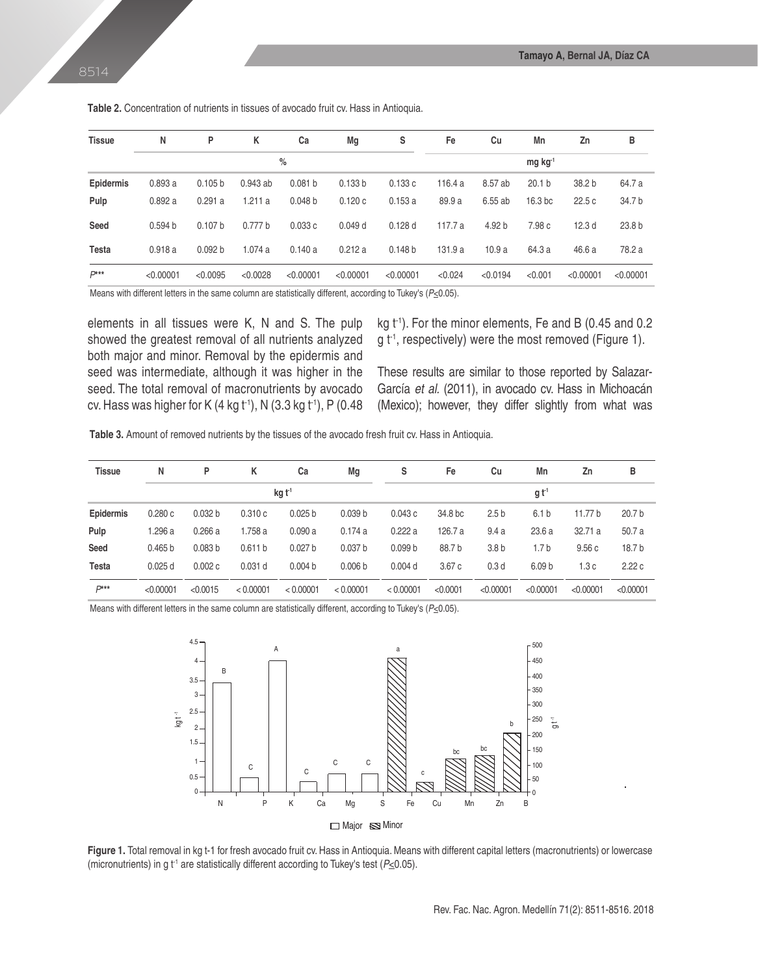| <b>Tissue</b>    | N                  | P                     | Κ          | Ca                 | Mg        | s                  | Fe      | Cu       | Mn                 | Zn                | в                 |
|------------------|--------------------|-----------------------|------------|--------------------|-----------|--------------------|---------|----------|--------------------|-------------------|-------------------|
|                  |                    | $mg$ kg <sup>-1</sup> |            |                    |           |                    |         |          |                    |                   |                   |
| <b>Epidermis</b> | 0.893a             | 0.105 b               | $0.943$ ab | 0.081 <sub>b</sub> | 0.133 b   | 0.133c             | 116.4a  | 8.57 ab  | 20.1 <sub>b</sub>  | 38.2 <sub>b</sub> | 64.7 a            |
| Pulp             | 0.892a             | 0.291a                | 1.211a     | 0.048 <sub>b</sub> | 0.120c    | 0.153a             | 89.9 a  | 6.55 ab  | 16.3 <sub>bc</sub> | 22.5c             | 34.7 b            |
| Seed             | 0.594 <sub>b</sub> | 0.107 <sub>b</sub>    | 0.777 b    | 0.033c             | 0.049d    | 0.128d             | 117.7 a | 4.92 b   | 7.98 c             | 12.3 <sub>d</sub> | 23.8 <sub>b</sub> |
| Testa            | 0.918a             | 0.092 b               | 1.074a     | 0.140a             | 0.212a    | 0.148 <sub>b</sub> | 131.9 a | 10.9a    | 64.3 a             | 46.6a             | 78.2 a            |
| $P***$           | < 0.00001          | < 0.0095              | < 0.0028   | < 0.00001          | < 0.00001 | < 0.00001          | < 0.024 | < 0.0194 | < 0.001            | < 0.00001         | < 0.00001         |

**Table 2.** Concentration of nutrients in tissues of avocado fruit cv. Hass in Antioquia.

Means with different letters in the same column are statistically different, according to Tukey's (*P*<0.05).

elements in all tissues were K, N and S. The pulp showed the greatest removal of all nutrients analyzed both major and minor. Removal by the epidermis and seed was intermediate, although it was higher in the seed. The total removal of macronutrients by avocado cv. Hass was higher for K (4 kg  $t^{-1}$ ), N (3.3 kg  $t^{-1}$ ), P (0.48 kg  $t<sup>1</sup>$ ). For the minor elements, Fe and B (0.45 and 0.2  $g t<sup>-1</sup>$ , respectively) were the most removed (Figure 1).

These results are similar to those reported by Salazar-García *et al.* (2011), in avocado cv. Hass in Michoacán (Mexico); however, they differ slightly from what was

**Table 3.** Amount of removed nutrients by the tissues of the avocado fresh fruit cv. Hass in Antioquia.

| <b>Tissue</b>    | N         | P                  | к         | Ca                 | Mq                 | s                  | Fe               | Cu               | Mn                | Zn        | в                 |  |  |  |
|------------------|-----------|--------------------|-----------|--------------------|--------------------|--------------------|------------------|------------------|-------------------|-----------|-------------------|--|--|--|
|                  |           |                    |           | kg t <sup>1</sup>  |                    |                    | g t <sup>1</sup> |                  |                   |           |                   |  |  |  |
| <b>Epidermis</b> | 0.280c    | 0.032 <sub>b</sub> | 0.310c    | 0.025 <sub>b</sub> | 0.039 <sub>b</sub> | 0.043c             | 34.8 bc          | 2.5 <sub>b</sub> | 6.1 <sub>b</sub>  | 11.77 b   | 20.7 <sub>b</sub> |  |  |  |
| Pulp             | 1.296 a   | 0.266a             | 1.758 a   | 0.090a             | 0.174a             | 0.222a             | 126.7 a          | 9.4a             | 23.6a             | 32.71a    | 50.7a             |  |  |  |
| Seed             | 0.465 b   | 0.083 <sub>b</sub> | 0.611 b   | 0.027 <sub>b</sub> | 0.037 <sub>b</sub> | 0.099 <sub>b</sub> | 88.7b            | 3.8 <sub>b</sub> | 1.7 b             | 9.56c     | 18.7 <sub>b</sub> |  |  |  |
| <b>Testa</b>     | 0.025d    | 0.002c             | $0.031$ d | 0.004 <sub>b</sub> | 0.006 <sub>b</sub> | $0.004$ d          | 3.67c            | 0.3 <sub>d</sub> | 6.09 <sub>b</sub> | 1.3c      | 2.22c             |  |  |  |
| $D***$           | < 0.00001 | < 0.0015           | < 0.00001 | < 0.00001          | < 0.00001          | < 0.00001          | < 0.0001         | < 0.00001        | < 0.00001         | < 0.00001 | < 0.00001         |  |  |  |

Means with different letters in the same column are statistically different, according to Tukey's (P<0.05).



Figure 1. Total removal in kg t-1 for fresh avocado fruit cv. Hass in Antioquia. Means with different capital letters (macronutrients) or lowercase (micronutrients) in g  $t^1$  are statistically different according to Tukey's test ( $P\leq 0.05$ ).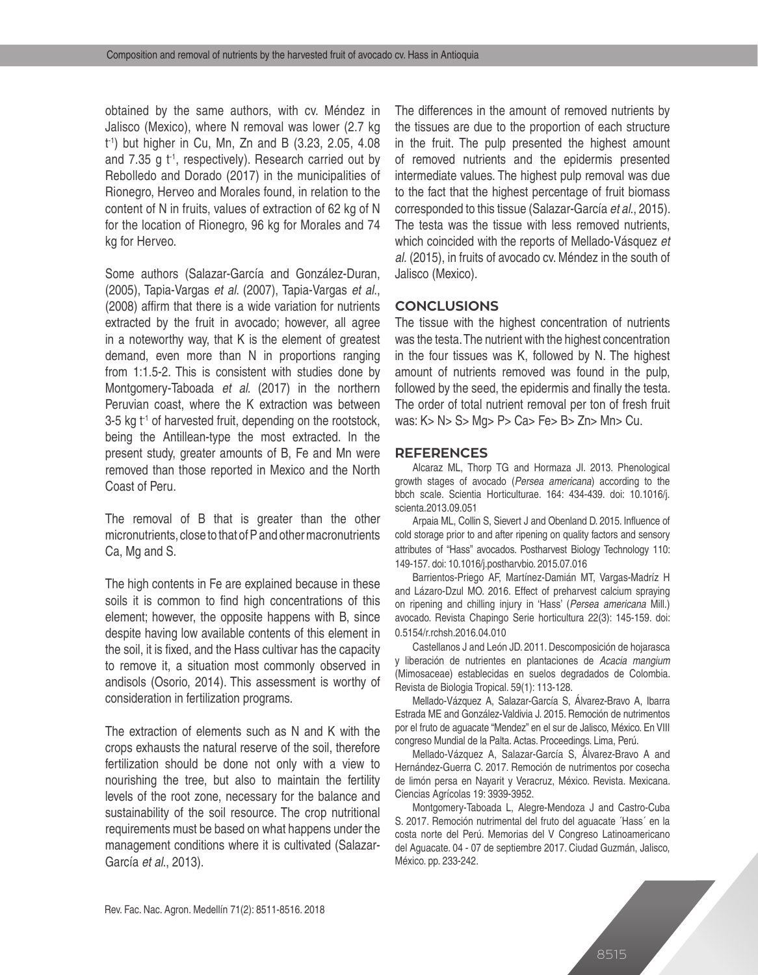obtained by the same authors, with cv. Méndez in Jalisco (Mexico), where N removal was lower (2.7 kg t -1) but higher in Cu, Mn, Zn and B (3.23, 2.05, 4.08 and 7.35 g  $t<sup>-1</sup>$ , respectively). Research carried out by Rebolledo and Dorado (2017) in the municipalities of Rionegro, Herveo and Morales found, in relation to the content of N in fruits, values of extraction of 62 kg of N for the location of Rionegro, 96 kg for Morales and 74 kg for Herveo.

Some authors (Salazar-García and González-Duran, (2005), Tapia-Vargas *et al*. (2007), Tapia-Vargas *et al*., (2008) affirm that there is a wide variation for nutrients extracted by the fruit in avocado; however, all agree in a noteworthy way, that K is the element of greatest demand, even more than N in proportions ranging from 1:1.5-2. This is consistent with studies done by Montgomery-Taboada *et al*. (2017) in the northern Peruvian coast, where the K extraction was between 3-5 kg  $t^1$  of harvested fruit, depending on the rootstock, being the Antillean-type the most extracted. In the present study, greater amounts of B, Fe and Mn were removed than those reported in Mexico and the North Coast of Peru.

The removal of B that is greater than the other micronutrients, close to that of P and other macronutrients Ca, Mg and S.

The high contents in Fe are explained because in these soils it is common to find high concentrations of this element; however, the opposite happens with B, since despite having low available contents of this element in the soil, it is fixed, and the Hass cultivar has the capacity to remove it, a situation most commonly observed in andisols (Osorio, 2014). This assessment is worthy of consideration in fertilization programs.

The extraction of elements such as N and K with the crops exhausts the natural reserve of the soil, therefore fertilization should be done not only with a view to nourishing the tree, but also to maintain the fertility levels of the root zone, necessary for the balance and sustainability of the soil resource. The crop nutritional requirements must be based on what happens under the management conditions where it is cultivated (Salazar-García *et al*., 2013).

The differences in the amount of removed nutrients by the tissues are due to the proportion of each structure in the fruit. The pulp presented the highest amount of removed nutrients and the epidermis presented intermediate values. The highest pulp removal was due to the fact that the highest percentage of fruit biomass corresponded to this tissue (Salazar-García *et al*., 2015). The testa was the tissue with less removed nutrients, which coincided with the reports of Mellado-Vásquez *et al.* (2015), in fruits of avocado cv. Méndez in the south of Jalisco (Mexico).

### **CONCLUSIONS**

The tissue with the highest concentration of nutrients was the testa. The nutrient with the highest concentration in the four tissues was K, followed by N. The highest amount of nutrients removed was found in the pulp, followed by the seed, the epidermis and finally the testa. The order of total nutrient removal per ton of fresh fruit was: K> N> S> Mg> P> Ca> Fe> B> Zn> Mn> Cu.

### **REFERENCES**

Alcaraz ML, Thorp TG and Hormaza JI. 2013. Phenological growth stages of avocado (*Persea americana*) according to the bbch scale. Scientia Horticulturae. 164: 434-439. doi: 10.1016/j. scienta.2013.09.051

Arpaia ML, Collin S, Sievert J and Obenland D. 2015. Influence of cold storage prior to and after ripening on quality factors and sensory attributes of "Hass" avocados. Postharvest Biology Technology 110: 149-157. doi: 10.1016/j.postharvbio. 2015.07.016

Barrientos-Priego AF, Martínez-Damián MT, Vargas-Madríz H and Lázaro-Dzul MO. 2016. Effect of preharvest calcium spraying on ripening and chilling injury in 'Hass' (*Persea americana* Mill.) avocado. Revista Chapingo Serie horticultura 22(3): 145-159. doi: 0.5154/r.rchsh.2016.04.010

Castellanos J and León JD. 2011. Descomposición de hojarasca y liberación de nutrientes en plantaciones de *Acacia mangium* (Mimosaceae) establecidas en suelos degradados de Colombia. Revista de Biologia Tropical. 59(1): 113-128.

Mellado-Vázquez A, Salazar-García S, Álvarez-Bravo A, Ibarra Estrada ME and González-Valdivia J. 2015. Remoción de nutrimentos por el fruto de aguacate "Mendez" en el sur de Jalisco, México. En VIII congreso Mundial de la Palta. Actas. Proceedings. Lima, Perú.

Mellado-Vázquez A, Salazar-García S, Álvarez-Bravo A and Hernández-Guerra C. 2017. Remoción de nutrimentos por cosecha de limón persa en Nayarit y Veracruz, México. Revista. Mexicana. Ciencias Agrícolas 19: 3939-3952.

Montgomery-Taboada L, Alegre-Mendoza J and Castro-Cuba S. 2017. Remoción nutrimental del fruto del aguacate ´Hass´ en la costa norte del Perú. Memorias del V Congreso Latinoamericano del Aguacate. 04 - 07 de septiembre 2017. Ciudad Guzmán, Jalisco, México. pp. 233-242.